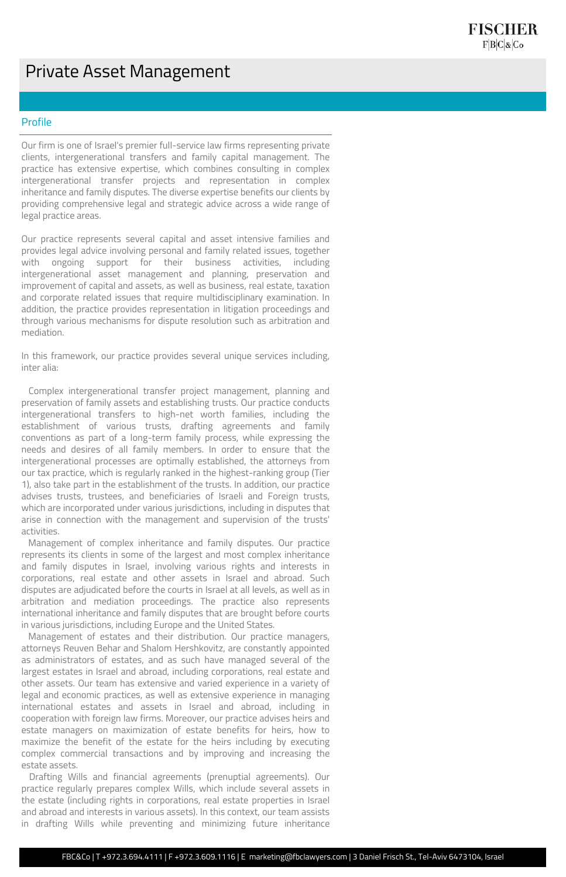## Private Asset Management

## Profile

Our firm is one of Israel's premier full-service law firms representing private clients, intergenerational transfers and family capital management. The practice has extensive expertise, which combines consulting in complex intergenerational transfer projects and representation in complex inheritance and family disputes. The diverse expertise benefits our clients by providing comprehensive legal and strategic advice across a wide range of legal practice areas.

Our practice represents several capital and asset intensive families and provides legal advice involving personal and family related issues, together with ongoing support for their business activities, including intergenerational asset management and planning, preservation and improvement of capital and assets, as well as business, real estate, taxation and corporate related issues that require multidisciplinary examination. In addition, the practice provides representation in litigation proceedings and through various mechanisms for dispute resolution such as arbitration and mediation.

In this framework, our practice provides several unique services including, inter alia:

 Complex intergenerational transfer project management, planning and preservation of family assets and establishing trusts. Our practice conducts intergenerational transfers to high-net worth families, including the establishment of various trusts, drafting agreements and family conventions as part of a long-term family process, while expressing the needs and desires of all family members. In order to ensure that the intergenerational processes are optimally established, the attorneys from our tax practice, which is regularly ranked in the highest-ranking group (Tier 1), also take part in the establishment of the trusts. In addition, our practice advises trusts, trustees, and beneficiaries of Israeli and Foreign trusts, which are incorporated under various jurisdictions, including in disputes that arise in connection with the management and supervision of the trusts' activities.

 Management of complex inheritance and family disputes. Our practice represents its clients in some of the largest and most complex inheritance and family disputes in Israel, involving various rights and interests in corporations, real estate and other assets in Israel and abroad. Such disputes are adjudicated before the courts in Israel at all levels, as well as in arbitration and mediation proceedings. The practice also represents international inheritance and family disputes that are brought before courts

in various jurisdictions, including Europe and the United States.

 Management of estates and their distribution. Our practice managers, attorneys Reuven Behar and Shalom Hershkovitz, are constantly appointed as administrators of estates, and as such have managed several of the largest estates in Israel and abroad, including corporations, real estate and other assets. Our team has extensive and varied experience in a variety of legal and economic practices, as well as extensive experience in managing international estates and assets in Israel and abroad, including in cooperation with foreign law firms. Moreover, our practice advises heirs and estate managers on maximization of estate benefits for heirs, how to maximize the benefit of the estate for the heirs including by executing complex commercial transactions and by improving and increasing the estate assets.

 Drafting Wills and financial agreements (prenuptial agreements). Our practice regularly prepares complex Wills, which include several assets in the estate (including rights in corporations, real estate properties in Israel and abroad and interests in various assets). In this context, our team assists in drafting Wills while preventing and minimizing future inheritance

FBC&Co | T +972.3.694.4111 | F +972.3.609.1116 | E marketing@fbclawyers.com | 3 Daniel Frisch St., Tel-Aviv 6473104, Israel